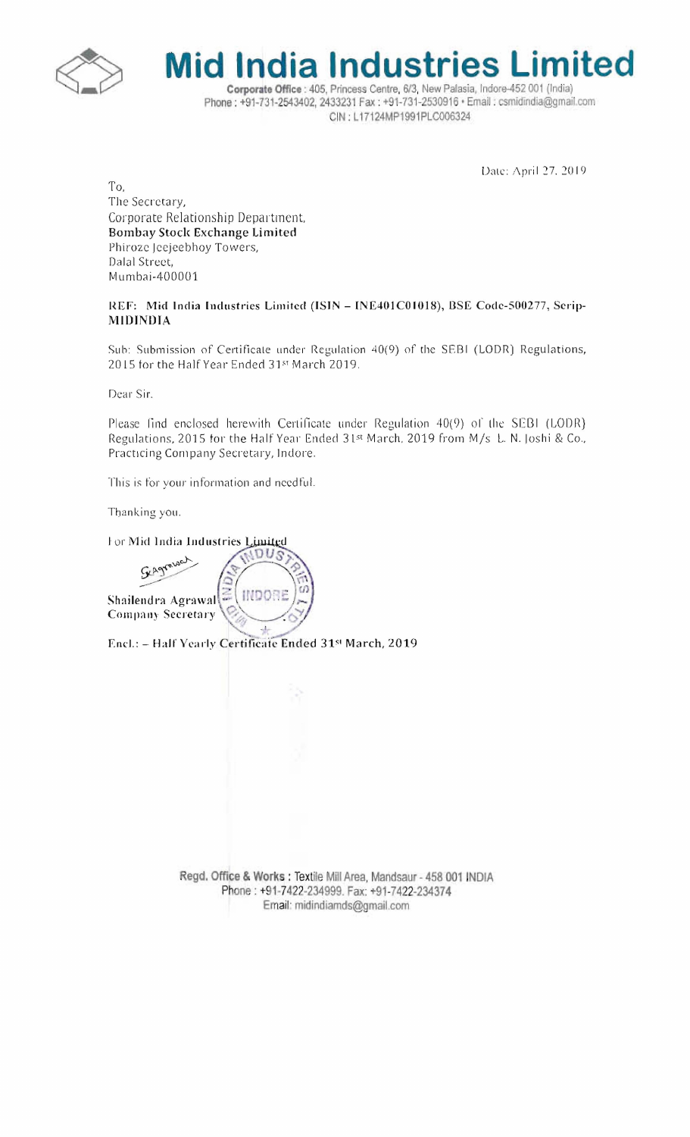

**Mid India Industries Limited** Corporate Office : 405, Princess Centre, 6/3, New Palasia, Indore-452 001 (India) Phone: +91-731-2543402, 2433231 Fax: +91-731-2530916 + Email: csmidindia@gmail.com

CIN: L17124MP1991PLC006324

Date: April 27, 2019

To, The Secretary, Corporate Relationship Department, **Bombay Stock Exchange Limited** Phiroze Jeejeebhoy Towers, Dalal Street, Mumbai-400001

REF: Mid India Industries Limited (ISIN - INE401C01018), BSE Code-500277, Serip-**MIDINDIA** 

Sub: Submission of Certificate under Regulation 40(9) of the SEBI (LODR) Regulations, 2015 for the Half Year Ended 31st March 2019.

Dear Sir.

Please find enclosed herewith Certificate under Regulation 40(9) of the SEBI (LODR) Regulations, 2015 for the Half Year Ended 31st March, 2019 from M/s L. N. Joshi & Co., Practicing Company Secretary, Indore.

This is for your information and needful.

Thanking you.

For Mid India Industries Limited



Encl.: - Half Yearly Certificate Ended 31st March, 2019

Regd. Office & Works: Textile Mill Area, Mandsaur - 458 001 INDIA Phone: +91-7422-234999. Fax: +91-7422-234374 Email: midindiamds@gmail.com